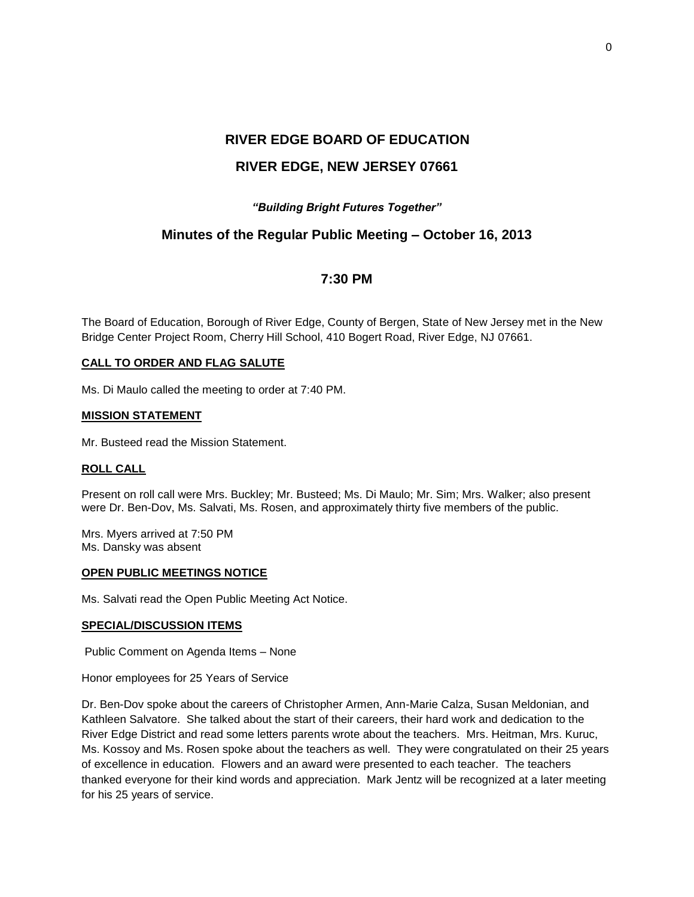# **RIVER EDGE BOARD OF EDUCATION RIVER EDGE, NEW JERSEY 07661**

## *"Building Bright Futures Together"*

# **Minutes of the Regular Public Meeting – October 16, 2013**

# **7:30 PM**

The Board of Education, Borough of River Edge, County of Bergen, State of New Jersey met in the New Bridge Center Project Room, Cherry Hill School, 410 Bogert Road, River Edge, NJ 07661.

#### **CALL TO ORDER AND FLAG SALUTE**

Ms. Di Maulo called the meeting to order at 7:40 PM.

#### **MISSION STATEMENT**

Mr. Busteed read the Mission Statement.

#### **ROLL CALL**

Present on roll call were Mrs. Buckley; Mr. Busteed; Ms. Di Maulo; Mr. Sim; Mrs. Walker; also present were Dr. Ben-Dov, Ms. Salvati, Ms. Rosen, and approximately thirty five members of the public.

Mrs. Myers arrived at 7:50 PM Ms. Dansky was absent

#### **OPEN PUBLIC MEETINGS NOTICE**

Ms. Salvati read the Open Public Meeting Act Notice.

## **SPECIAL/DISCUSSION ITEMS**

Public Comment on Agenda Items – None

Honor employees for 25 Years of Service

Dr. Ben-Dov spoke about the careers of Christopher Armen, Ann-Marie Calza, Susan Meldonian, and Kathleen Salvatore. She talked about the start of their careers, their hard work and dedication to the River Edge District and read some letters parents wrote about the teachers. Mrs. Heitman, Mrs. Kuruc, Ms. Kossoy and Ms. Rosen spoke about the teachers as well. They were congratulated on their 25 years of excellence in education. Flowers and an award were presented to each teacher. The teachers thanked everyone for their kind words and appreciation. Mark Jentz will be recognized at a later meeting for his 25 years of service.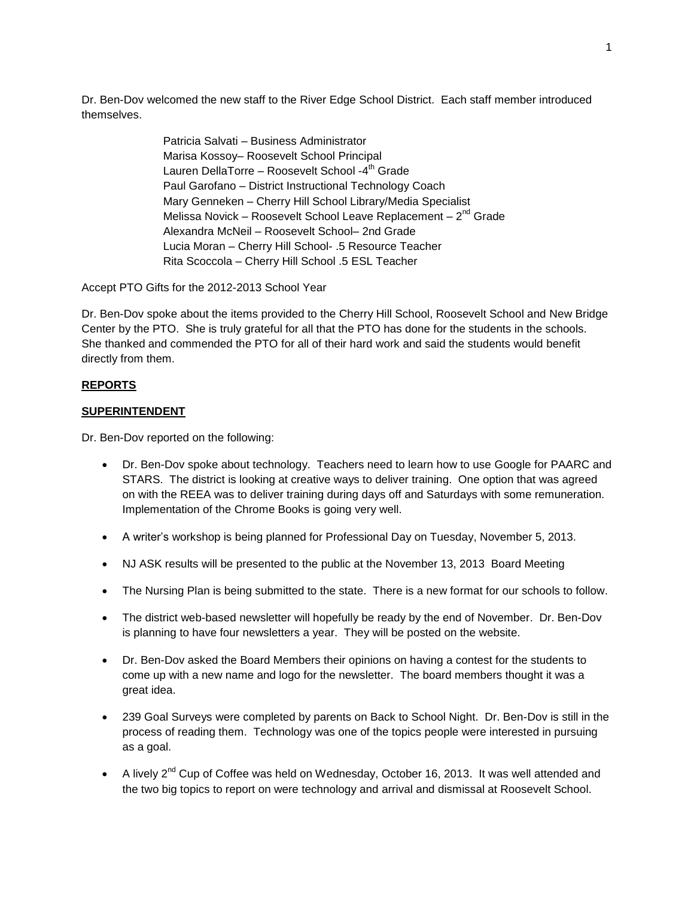Dr. Ben-Dov welcomed the new staff to the River Edge School District. Each staff member introduced themselves.

> Patricia Salvati – Business Administrator Marisa Kossoy– Roosevelt School Principal Lauren DellaTorre – Roosevelt School -4<sup>th</sup> Grade Paul Garofano – District Instructional Technology Coach Mary Genneken – Cherry Hill School Library/Media Specialist Melissa Novick – Roosevelt School Leave Replacement – 2<sup>nd</sup> Grade Alexandra McNeil – Roosevelt School– 2nd Grade Lucia Moran – Cherry Hill School- .5 Resource Teacher Rita Scoccola – Cherry Hill School .5 ESL Teacher

Accept PTO Gifts for the 2012-2013 School Year

Dr. Ben-Dov spoke about the items provided to the Cherry Hill School, Roosevelt School and New Bridge Center by the PTO. She is truly grateful for all that the PTO has done for the students in the schools. She thanked and commended the PTO for all of their hard work and said the students would benefit directly from them.

## **REPORTS**

## **SUPERINTENDENT**

Dr. Ben-Dov reported on the following:

- Dr. Ben-Dov spoke about technology. Teachers need to learn how to use Google for PAARC and STARS. The district is looking at creative ways to deliver training. One option that was agreed on with the REEA was to deliver training during days off and Saturdays with some remuneration. Implementation of the Chrome Books is going very well.
- A writer's workshop is being planned for Professional Day on Tuesday, November 5, 2013.
- NJ ASK results will be presented to the public at the November 13, 2013 Board Meeting
- The Nursing Plan is being submitted to the state. There is a new format for our schools to follow.
- The district web-based newsletter will hopefully be ready by the end of November. Dr. Ben-Dov is planning to have four newsletters a year. They will be posted on the website.
- Dr. Ben-Dov asked the Board Members their opinions on having a contest for the students to come up with a new name and logo for the newsletter. The board members thought it was a great idea.
- 239 Goal Surveys were completed by parents on Back to School Night. Dr. Ben-Dov is still in the process of reading them. Technology was one of the topics people were interested in pursuing as a goal.
- A lively 2<sup>nd</sup> Cup of Coffee was held on Wednesday, October 16, 2013. It was well attended and the two big topics to report on were technology and arrival and dismissal at Roosevelt School.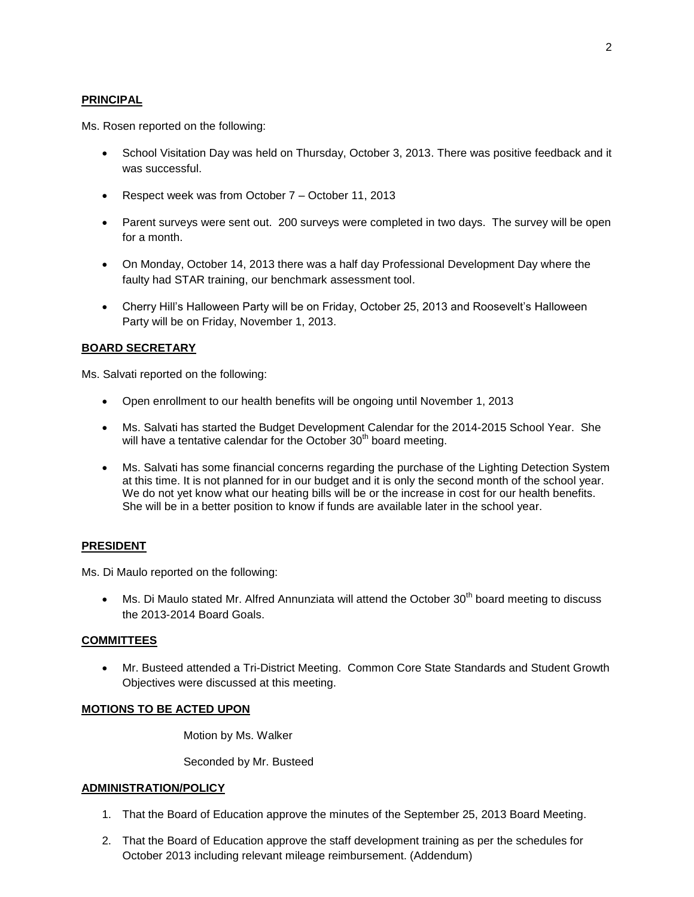## **PRINCIPAL**

Ms. Rosen reported on the following:

- School Visitation Day was held on Thursday, October 3, 2013. There was positive feedback and it was successful.
- Respect week was from October 7 October 11, 2013
- Parent surveys were sent out. 200 surveys were completed in two days. The survey will be open for a month.
- On Monday, October 14, 2013 there was a half day Professional Development Day where the faulty had STAR training, our benchmark assessment tool.
- Cherry Hill's Halloween Party will be on Friday, October 25, 2013 and Roosevelt's Halloween Party will be on Friday, November 1, 2013.

## **BOARD SECRETARY**

Ms. Salvati reported on the following:

- Open enrollment to our health benefits will be ongoing until November 1, 2013
- Ms. Salvati has started the Budget Development Calendar for the 2014-2015 School Year. She will have a tentative calendar for the October  $30<sup>th</sup>$  board meeting.
- Ms. Salvati has some financial concerns regarding the purchase of the Lighting Detection System at this time. It is not planned for in our budget and it is only the second month of the school year. We do not yet know what our heating bills will be or the increase in cost for our health benefits. She will be in a better position to know if funds are available later in the school year.

## **PRESIDENT**

Ms. Di Maulo reported on the following:

 $\bullet$  Ms. Di Maulo stated Mr. Alfred Annunziata will attend the October 30<sup>th</sup> board meeting to discuss the 2013-2014 Board Goals.

## **COMMITTEES**

 Mr. Busteed attended a Tri-District Meeting. Common Core State Standards and Student Growth Objectives were discussed at this meeting.

## **MOTIONS TO BE ACTED UPON**

Motion by Ms. Walker

Seconded by Mr. Busteed

#### **ADMINISTRATION/POLICY**

- 1. That the Board of Education approve the minutes of the September 25, 2013 Board Meeting.
- 2. That the Board of Education approve the staff development training as per the schedules for October 2013 including relevant mileage reimbursement. (Addendum)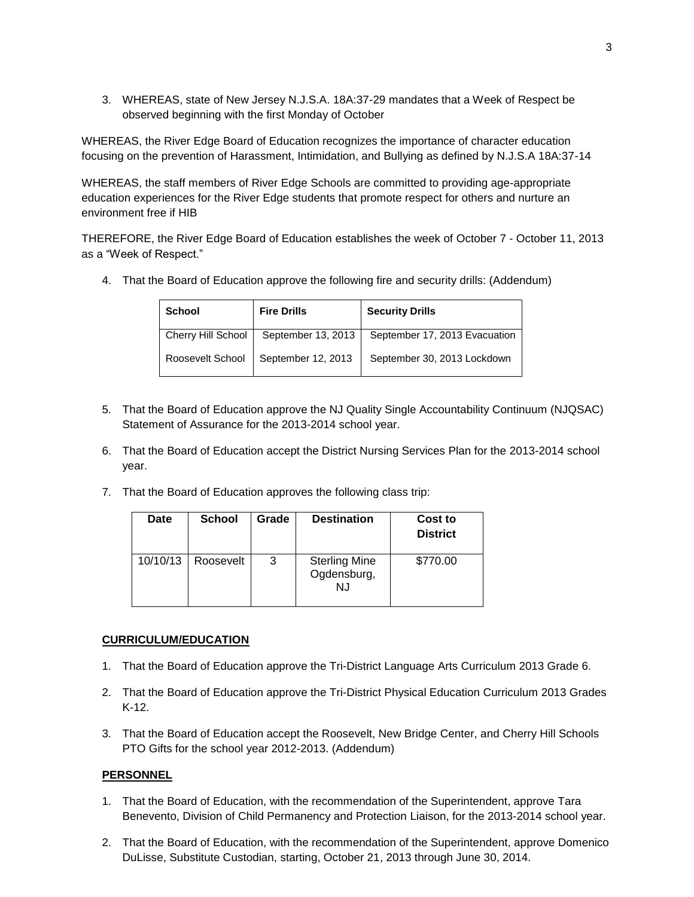3. WHEREAS, state of New Jersey N.J.S.A. 18A:37-29 mandates that a Week of Respect be observed beginning with the first Monday of October

WHEREAS, the River Edge Board of Education recognizes the importance of character education focusing on the prevention of Harassment, Intimidation, and Bullying as defined by N.J.S.A 18A:37-14

WHEREAS, the staff members of River Edge Schools are committed to providing age-appropriate education experiences for the River Edge students that promote respect for others and nurture an environment free if HIB

THEREFORE, the River Edge Board of Education establishes the week of October 7 - October 11, 2013 as a "Week of Respect."

4. That the Board of Education approve the following fire and security drills: (Addendum)

| <b>School</b>      | <b>Fire Drills</b> | <b>Security Drills</b>        |
|--------------------|--------------------|-------------------------------|
| Cherry Hill School | September 13, 2013 | September 17, 2013 Evacuation |
| Roosevelt School   | September 12, 2013 | September 30, 2013 Lockdown   |

- 5. That the Board of Education approve the NJ Quality Single Accountability Continuum (NJQSAC) Statement of Assurance for the 2013-2014 school year.
- 6. That the Board of Education accept the District Nursing Services Plan for the 2013-2014 school year.
- 7. That the Board of Education approves the following class trip:

| <b>Date</b> | <b>School</b> | Grade | <b>Destination</b>                        | Cost to<br><b>District</b> |
|-------------|---------------|-------|-------------------------------------------|----------------------------|
| 10/10/13    | Roosevelt     | 3     | <b>Sterling Mine</b><br>Ogdensburg,<br>NJ | \$770.00                   |

#### **CURRICULUM/EDUCATION**

- 1. That the Board of Education approve the Tri-District Language Arts Curriculum 2013 Grade 6.
- 2. That the Board of Education approve the Tri-District Physical Education Curriculum 2013 Grades K-12.
- 3. That the Board of Education accept the Roosevelt, New Bridge Center, and Cherry Hill Schools PTO Gifts for the school year 2012-2013. (Addendum)

## **PERSONNEL**

- 1. That the Board of Education, with the recommendation of the Superintendent, approve Tara Benevento, Division of Child Permanency and Protection Liaison, for the 2013-2014 school year.
- 2. That the Board of Education, with the recommendation of the Superintendent, approve Domenico DuLisse, Substitute Custodian, starting, October 21, 2013 through June 30, 2014.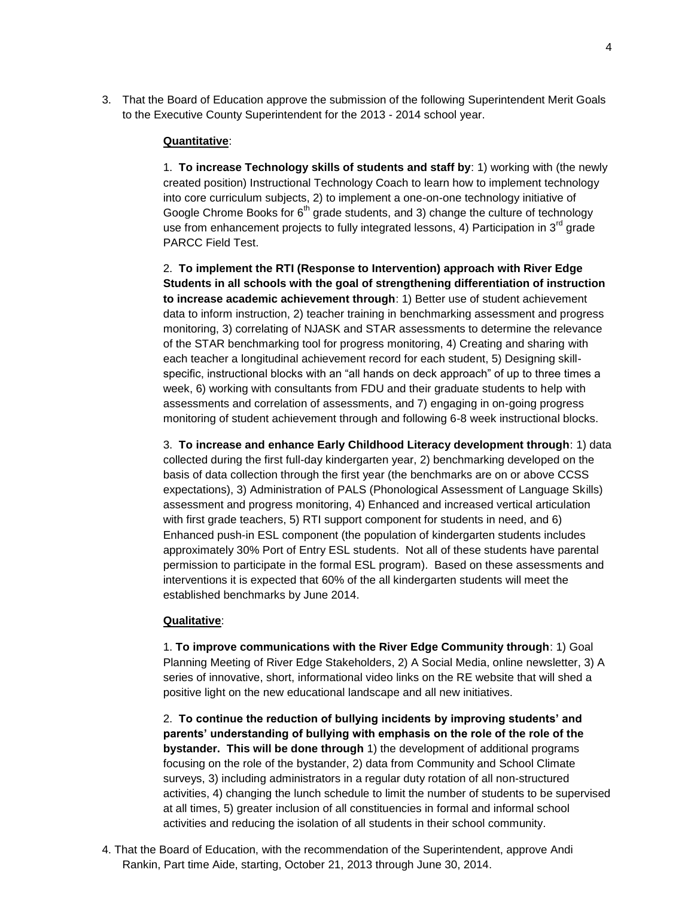3. That the Board of Education approve the submission of the following Superintendent Merit Goals to the Executive County Superintendent for the 2013 - 2014 school year.

#### **Quantitative**:

1. **To increase Technology skills of students and staff by**: 1) working with (the newly created position) Instructional Technology Coach to learn how to implement technology into core curriculum subjects, 2) to implement a one-on-one technology initiative of Google Chrome Books for  $6<sup>th</sup>$  grade students, and 3) change the culture of technology use from enhancement projects to fully integrated lessons, 4) Participation in  $3<sup>rd</sup>$  grade PARCC Field Test.

2. **To implement the RTI (Response to Intervention) approach with River Edge Students in all schools with the goal of strengthening differentiation of instruction to increase academic achievement through**: 1) Better use of student achievement data to inform instruction, 2) teacher training in benchmarking assessment and progress monitoring, 3) correlating of NJASK and STAR assessments to determine the relevance of the STAR benchmarking tool for progress monitoring, 4) Creating and sharing with each teacher a longitudinal achievement record for each student, 5) Designing skillspecific, instructional blocks with an "all hands on deck approach" of up to three times a week, 6) working with consultants from FDU and their graduate students to help with assessments and correlation of assessments, and 7) engaging in on-going progress monitoring of student achievement through and following 6-8 week instructional blocks.

3. **To increase and enhance Early Childhood Literacy development through**: 1) data collected during the first full-day kindergarten year, 2) benchmarking developed on the basis of data collection through the first year (the benchmarks are on or above CCSS expectations), 3) Administration of PALS (Phonological Assessment of Language Skills) assessment and progress monitoring, 4) Enhanced and increased vertical articulation with first grade teachers, 5) RTI support component for students in need, and 6) Enhanced push-in ESL component (the population of kindergarten students includes approximately 30% Port of Entry ESL students. Not all of these students have parental permission to participate in the formal ESL program). Based on these assessments and interventions it is expected that 60% of the all kindergarten students will meet the established benchmarks by June 2014.

#### **Qualitative**:

1. **To improve communications with the River Edge Community through**: 1) Goal Planning Meeting of River Edge Stakeholders, 2) A Social Media, online newsletter, 3) A series of innovative, short, informational video links on the RE website that will shed a positive light on the new educational landscape and all new initiatives.

2. **To continue the reduction of bullying incidents by improving students' and parents' understanding of bullying with emphasis on the role of the role of the bystander. This will be done through** 1) the development of additional programs focusing on the role of the bystander, 2) data from Community and School Climate surveys, 3) including administrators in a regular duty rotation of all non-structured activities, 4) changing the lunch schedule to limit the number of students to be supervised at all times, 5) greater inclusion of all constituencies in formal and informal school activities and reducing the isolation of all students in their school community.

4. That the Board of Education, with the recommendation of the Superintendent, approve Andi Rankin, Part time Aide, starting, October 21, 2013 through June 30, 2014.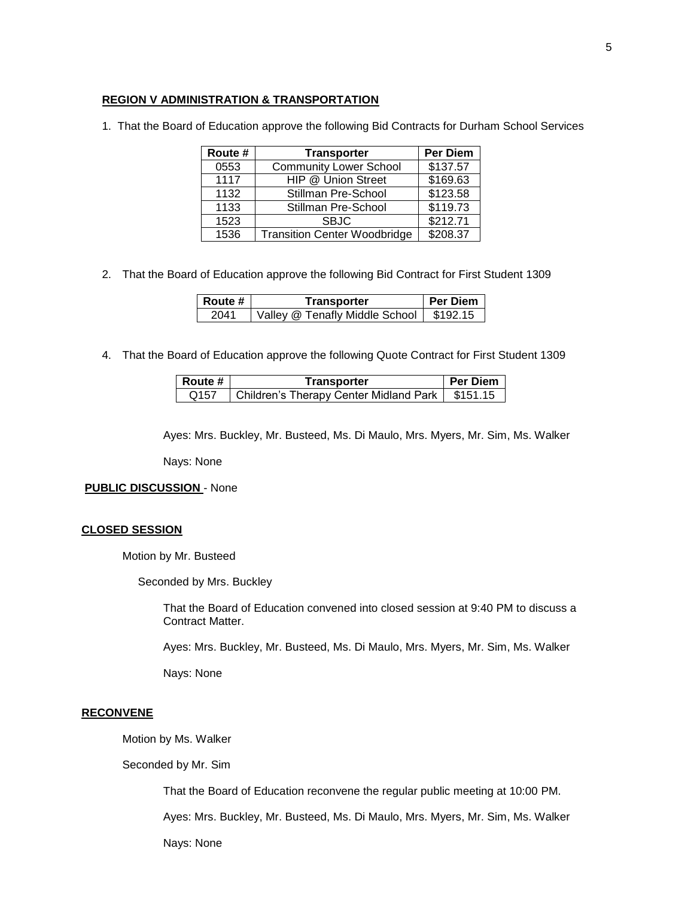## **REGION V ADMINISTRATION & TRANSPORTATION**

1. That the Board of Education approve the following Bid Contracts for Durham School Services

| Route # | <b>Transporter</b>                  | <b>Per Diem</b> |
|---------|-------------------------------------|-----------------|
| 0553    | <b>Community Lower School</b>       | \$137.57        |
| 1117    | HIP @ Union Street                  | \$169.63        |
| 1132    | Stillman Pre-School                 | \$123.58        |
| 1133    | Stillman Pre-School                 | \$119.73        |
| 1523    | <b>SBJC</b>                         | \$212.71        |
| 1536    | <b>Transition Center Woodbridge</b> | \$208.37        |

2. That the Board of Education approve the following Bid Contract for First Student 1309

| ∣ Route # | Transporter                    | <b>Per Diem</b> |
|-----------|--------------------------------|-----------------|
| 2041      | Valley @ Tenafly Middle School | \$192.15        |

4. That the Board of Education approve the following Quote Contract for First Student 1309

| l Route #        | Transporter                                       | <b>Per Diem</b> |
|------------------|---------------------------------------------------|-----------------|
| Q <sub>157</sub> | Children's Therapy Center Midland Park   \$151.15 |                 |

Ayes: Mrs. Buckley, Mr. Busteed, Ms. Di Maulo, Mrs. Myers, Mr. Sim, Ms. Walker

Nays: None

**PUBLIC DISCUSSION** - None

#### **CLOSED SESSION**

Motion by Mr. Busteed

Seconded by Mrs. Buckley

That the Board of Education convened into closed session at 9:40 PM to discuss a Contract Matter.

Ayes: Mrs. Buckley, Mr. Busteed, Ms. Di Maulo, Mrs. Myers, Mr. Sim, Ms. Walker

Nays: None

#### **RECONVENE**

Motion by Ms. Walker

Seconded by Mr. Sim

That the Board of Education reconvene the regular public meeting at 10:00 PM.

Ayes: Mrs. Buckley, Mr. Busteed, Ms. Di Maulo, Mrs. Myers, Mr. Sim, Ms. Walker

Nays: None